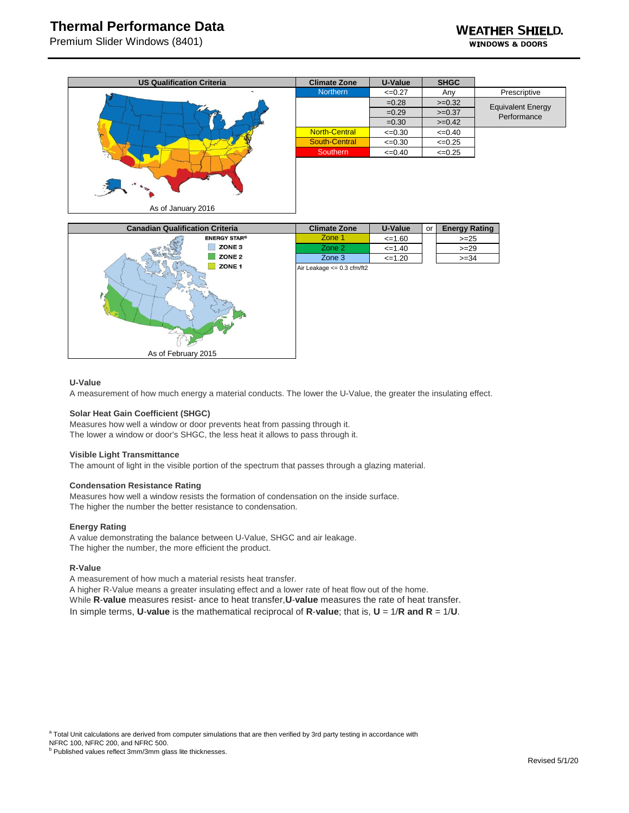# **Thermal Performance Data**

Premium Slider Windows (8401)

| <b>US Qualification Criteria</b> | <b>Climate Zone</b>  | U-Value     | <b>SHGC</b> |                          |
|----------------------------------|----------------------|-------------|-------------|--------------------------|
|                                  | <b>Northern</b>      | $\leq 0.27$ | Any         | Prescriptive             |
|                                  |                      | $=0.28$     | $>=0.32$    | <b>Equivalent Energy</b> |
|                                  |                      | $=0.29$     | $>=0.37$    | Performance              |
|                                  |                      | $=0.30$     | $>=0.42$    |                          |
|                                  | <b>North-Central</b> | $\leq 0.30$ | $\leq 0.40$ |                          |
|                                  | South-Central        | $\leq 0.30$ | $\leq 0.25$ |                          |
|                                  | Southern             | $\leq 0.40$ | $\leq 0.25$ |                          |
|                                  |                      |             |             |                          |
| As of January 2016               |                      |             |             |                          |



### **U-Value**

A measurement of how much energy a material conducts. The lower the U-Value, the greater the insulating effect.

#### **Solar Heat Gain Coefficient (SHGC)**

Measures how well a window or door prevents heat from passing through it. The lower a window or door's SHGC, the less heat it allows to pass through it.

#### **Visible Light Transmittance**

The amount of light in the visible portion of the spectrum that passes through a glazing material.

## **Condensation Resistance Rating**

Measures how well a window resists the formation of condensation on the inside surface. The higher the number the better resistance to condensation.

#### **Energy Rating**

A value demonstrating the balance between U-Value, SHGC and air leakage. The higher the number, the more efficient the product.

### **R-Value**

A measurement of how much a material resists heat transfer.

A higher R-Value means a greater insulating effect and a lower rate of heat flow out of the home. While **R**-**value** measures resist- ance to heat transfer,**U**-**value** measures the rate of heat transfer. In simple terms, **U**-**value** is the mathematical reciprocal of **R**-**value**; that is, **U** = 1/**R and R** = 1/**U**.

<sup>a</sup> Total Unit calculations are derived from computer simulations that are then verified by 3rd party testing in accordance with

NFRC 100, NFRC 200, and NFRC 500.

**b** Published values reflect 3mm/3mm glass lite thicknesses.